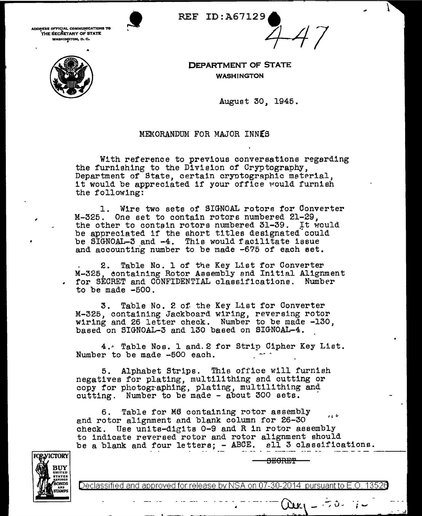

**ADDRESS OFFICfAL COMMUNICATIONS TO**  THE SECRETARY OF STATE **WASHINGTON, D. C. PERFORMAL COMMUNICATIONS TO REF ID: A67129.** 



**DEPARTMENT OF STATE**  WASHINGTON

August 30, 1945.

 $A$ 7

## MEMORANDUM FOR MAJOR INNES

With reference to previous conversations regarding the furnishing to the Division of Cryptography, Department of State, certain cryptographic meterial, it would be appreciated if your office would furnish the following:

1. Wire two sets of SIGNOAL rotors for Converter M-325. One set to contain rotors numbered 21-29, the other to contain rotors numbered 31-39. It would be appreciated if the short titles designated could be SIGNOAL-3 and -4. This would facilitate issue and accounting number to be made  $-675$  of each set.

2. Table No. 1 of the Key List for Converter M-325, eontaining Rotor Assembly end Initial Alignment for SECRET and CONFIDENTIAL classifications. Number to be made -500.

3. Table No. 2 of the Key List for Converter M-325, containing Jackboard wiring, reversing rotor wiring and 26 letter check. Number to be made -130, based on SIGNOAL-3 and 130 based on SIGNOAL-4.

4.~ Table Nos. 1 and.2 for Strip Cipher Key List. Number to be made -500 each.

5. Alphabet Strips. This office will furnish negatives for plating, multilithing and cutting or copy for photographing, plating, multilithing and  $cutting.$  Number to be made  $-$  about 300 sets.

- ·<br>--- · ---

6. Table for *MB* containing rotor assembly  $\overline{a}$ end rotor alignment and blank column for 26-30 check. Use unite-digits 0-9 and R in rotor assembly to indicate reversed rotor and rotor alignment should be a blank and four letters; - ABCE. all 3 classifications.



 $\tt{B}$ E $\tt{O}$ RET $\tt{P}$ 

 $\frac{1}{2}$  -  $\cdots$  -  $\frac{1}{2}$   $\frac{1}{2}$   $\frac{1}{2}$   $\frac{1}{2}$   $\frac{1}{2}$   $\frac{1}{2}$   $\cdots$   $\frac{1}{2}$   $\frac{1}{2}$ 

Declassified and approved for release by NSA on 07-30-2014 pursuantto E.O. 1352a